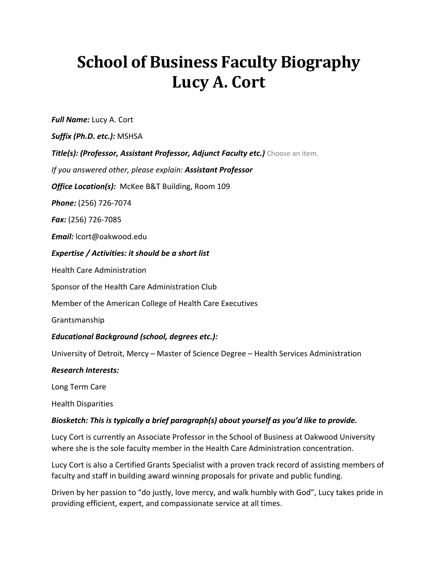# **School of Business Faculty Biography Lucy A. Cort**

*Full Name:* Lucy A. Cort

*Suffix (Ph.D. etc.):* MSHSA

**Title(s): (Professor, Assistant Professor, Adjunct Faculty etc.)** Choose an item.

*If you answered other, please explain: Assistant Professor*

**Office Location(s):** McKee B&T Building, Room 109

*Phone:* (256) 726-7074

*Fax:* (256) 726-7085

*Email:* lcort@oakwood.edu

#### *Expertise / Activities: it should be a short list*

Health Care Administration

Sponsor of the Health Care Administration Club

Member of the American College of Health Care Executives

Grantsmanship

## *Educational Background (school, degrees etc.):*

University of Detroit, Mercy – Master of Science Degree – Health Services Administration

#### *Research Interests:*

Long Term Care

Health Disparities

## *Biosketch: This is typically a brief paragraph(s) about yourself as you'd like to provide.*

Lucy Cort is currently an Associate Professor in the School of Business at Oakwood University where she is the sole faculty member in the Health Care Administration concentration.

Lucy Cort is also a Certified Grants Specialist with a proven track record of assisting members of faculty and staff in building award winning proposals for private and public funding.

Driven by her passion to "do justly, love mercy, and walk humbly with God", Lucy takes pride in providing efficient, expert, and compassionate service at all times.